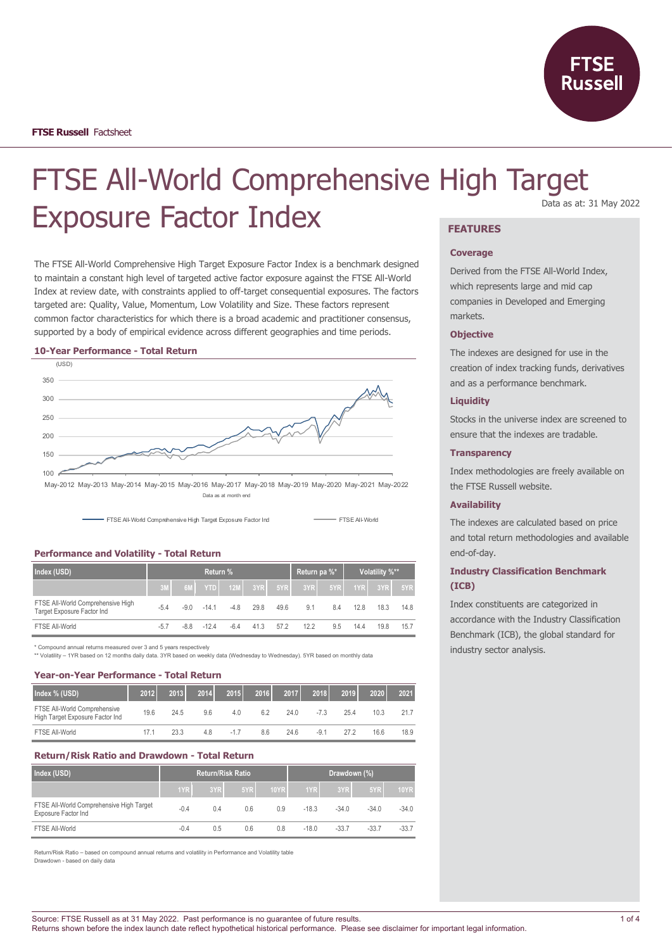

# FTSE All-World Comprehensive High Target Exposure Factor Index **FEATURES**

The FTSE All-World Comprehensive High Target Exposure Factor Index is a benchmark designed to maintain a constant high level of targeted active factor exposure against the FTSE All-World Index at review date, with constraints applied to off-target consequential exposures. The factors targeted are: Quality, Value, Momentum, Low Volatility and Size. These factors represent common factor characteristics for which there is a broad academic and practitioner consensus, supported by a body of empirical evidence across different geographies and time periods.

#### **10-Year Performance - Total Return**



May-2012 May-2013 May-2014 May-2015 May-2016 May-2017 May-2018 May-2019 May-2020 May-2021 May-2022 Data as at month end



**Performance and Volatility - Total Return**

| Index (USD)                                                     | Return % |        |        |        |                    |      | Return pa %* |       | Volatility %** |           |        |
|-----------------------------------------------------------------|----------|--------|--------|--------|--------------------|------|--------------|-------|----------------|-----------|--------|
|                                                                 |          | 6M     |        |        | <b>YTD</b> 12M 3YR | 5YR  | 3YR          | 5YR I |                | 1YRL 3YRL | $-5YR$ |
| FTSE All-World Comprehensive High<br>Target Exposure Factor Ind | $-5.4$   | $-9.0$ | $-141$ | $-4.8$ | 29.8               | 49.6 | 9.1          | 8.4   | 12.8           | 18.3      | 14.8   |
| FTSE All-World                                                  | $-5.7$   | $-8.8$ | $-124$ | $-6.4$ | 41.3               | 57.2 | 12.2         | 9.5   | 14.4           | 19.8      | 15.7   |

\* Compound annual returns measured over 3 and 5 years respectively

\*\* Volatility – 1YR based on 12 months daily data. 3YR based on weekly data (Wednesday to Wednesday). 5YR based on monthly data

# **Year-on-Year Performance - Total Return**

| Index % (USD)                                                   | 2012 | 2013 | 2014 | 2015   | 2016 | 2017 | 2018   | 2019 | 2020 | 2021 |
|-----------------------------------------------------------------|------|------|------|--------|------|------|--------|------|------|------|
| FTSE All-World Comprehensive<br>High Target Exposure Factor Ind | 19.6 | 24.5 | 96   | 4.0    | 6.2  | 24 O | $-7.3$ | 25.4 | 10.3 | 21.7 |
| FTSE All-World                                                  | 171  | 23.3 | 4.8  | $-1.7$ | 8.6  | 24.6 | $-9.1$ | 272  | 16.6 | 18.9 |

## **Return/Risk Ratio and Drawdown - Total Return**

| Index (USD)                                                     |        | <b>Return/Risk Ratio</b> |     |             | Drawdown (%) |         |         |             |
|-----------------------------------------------------------------|--------|--------------------------|-----|-------------|--------------|---------|---------|-------------|
|                                                                 | 1YR    | 3YR                      | 5YR | <b>10YR</b> | 1YR          | 3YR     | 5YR     | <b>10YR</b> |
| FTSE All-World Comprehensive High Target<br>Exposure Factor Ind | $-0.4$ | 0.4                      | 0.6 | 0.9         | $-18.3$      | $-34.0$ | $-34.0$ | $-34.0$     |
| FTSE All-World                                                  | $-0.4$ | 0.5                      | 0.6 | 0.8         | $-18.0$      | $-33.7$ | $-33.7$ | $-33.7$     |

Return/Risk Ratio – based on compound annual returns and volatility in Performance and Volatility table Drawdown - based on daily data

# Data as at: 31 May 2022

## **Coverage**

Derived from the FTSE All-World Index, which represents large and mid cap companies in Developed and Emerging markets.

#### **Objective**

The indexes are designed for use in the creation of index tracking funds, derivatives and as a performance benchmark.

# **Liquidity**

Stocks in the universe index are screened to ensure that the indexes are tradable.

# **Transparency**

Index methodologies are freely available on the FTSE Russell website.

### **Availability**

The indexes are calculated based on price and total return methodologies and available end-of-day.

# **Industry Classification Benchmark (ICB)**

Index constituents are categorized in accordance with the Industry Classification Benchmark (ICB), the global standard for industry sector analysis.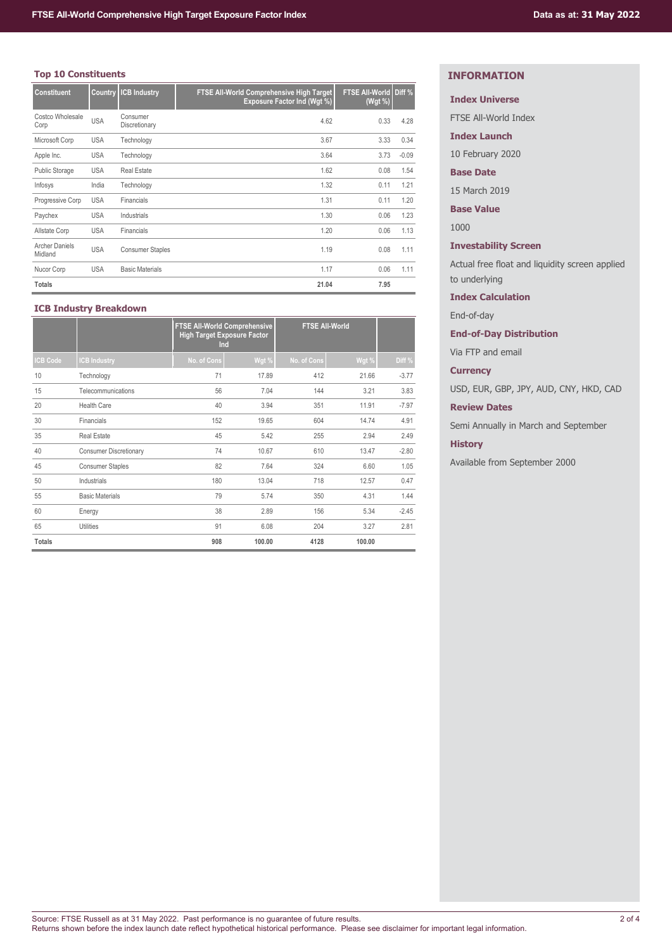# **Top 10 Constituents**

| <b>Constituent</b>               | Country    | <b>ICB Industry</b>       | FTSE All-World Comprehensive High Target<br>Exposure Factor Ind (Wgt %) | FTSE All-World Diff %<br>(Wgt %) |         |
|----------------------------------|------------|---------------------------|-------------------------------------------------------------------------|----------------------------------|---------|
| Costco Wholesale<br>Corp         | <b>USA</b> | Consumer<br>Discretionary | 4.62                                                                    | 0.33                             | 4.28    |
| Microsoft Corp                   | <b>USA</b> | Technology                | 3.67                                                                    | 3.33                             | 0.34    |
| Apple Inc.                       | <b>USA</b> | Technology                | 3.64                                                                    | 3.73                             | $-0.09$ |
| <b>Public Storage</b>            | <b>USA</b> | <b>Real Estate</b>        | 1.62                                                                    | 0.08                             | 1.54    |
| Infosys                          | India      | Technology                | 1.32                                                                    | 0.11                             | 1.21    |
| Progressive Corp                 | <b>USA</b> | Financials                | 1.31                                                                    | 0.11                             | 1.20    |
| Paychex                          | <b>USA</b> | Industrials               | 1.30                                                                    | 0.06                             | 1.23    |
| Allstate Corp                    | <b>USA</b> | Financials                | 1.20                                                                    | 0.06                             | 1.13    |
| <b>Archer Daniels</b><br>Midland | <b>USA</b> | <b>Consumer Staples</b>   | 1.19                                                                    | 0.08                             | 1.11    |
| Nucor Corp                       | <b>USA</b> | <b>Basic Materials</b>    | 1.17                                                                    | 0.06                             | 1.11    |
| <b>Totals</b>                    |            |                           | 21.04                                                                   | 7.95                             |         |

# **ICB Industry Breakdown**

|                 |                               | <b>FTSE AII-World Comprehensive</b><br><b>High Target Exposure Factor</b><br>Ind |        | <b>FTSE All-World</b> |        |         |
|-----------------|-------------------------------|----------------------------------------------------------------------------------|--------|-----------------------|--------|---------|
| <b>ICB Code</b> | <b>CB Industry</b>            | No. of Cons                                                                      | Wgt %  | No. of Cons           | Wgt %  | Diff %  |
| 10              | Technology                    | 71                                                                               | 17.89  | 412                   | 21.66  | $-3.77$ |
| 15              | Telecommunications            | 56                                                                               | 7.04   | 144                   | 3.21   | 3.83    |
| 20              | <b>Health Care</b>            | 40                                                                               | 3.94   | 351                   | 11.91  | $-7.97$ |
| 30              | Financials                    | 152                                                                              | 19.65  | 604                   | 14.74  | 4.91    |
| 35              | <b>Real Estate</b>            | 45                                                                               | 5.42   | 255                   | 2.94   | 2.49    |
| 40              | <b>Consumer Discretionary</b> | 74                                                                               | 10.67  | 610                   | 13.47  | $-2.80$ |
| 45              | <b>Consumer Staples</b>       | 82                                                                               | 7.64   | 324                   | 6.60   | 1.05    |
| 50              | Industrials                   | 180                                                                              | 13.04  | 718                   | 12.57  | 0.47    |
| 55              | <b>Basic Materials</b>        | 79                                                                               | 5.74   | 350                   | 4.31   | 1.44    |
| 60              | Energy                        | 38                                                                               | 2.89   | 156                   | 5.34   | $-2.45$ |
| 65              | <b>Utilities</b>              | 91                                                                               | 6.08   | 204                   | 3.27   | 2.81    |
| <b>Totals</b>   |                               | 908                                                                              | 100.00 | 4128                  | 100.00 |         |

# **INFORMATION**

# **Index Universe**

FTSE All-World Index

**Index Launch**

10 February 2020

# **Base Date**

15 March 2019

**Base Value**

1000

# **Investability Screen**

Actual free float and liquidity screen applied to underlying

# **Index Calculation**

End-of-day

# **End-of-Day Distribution**

Via FTP and email

# **Currency**

USD, EUR, GBP, JPY, AUD, CNY, HKD, CAD

# **Review Dates**

Semi Annually in March and September

# **History**

Available from September 2000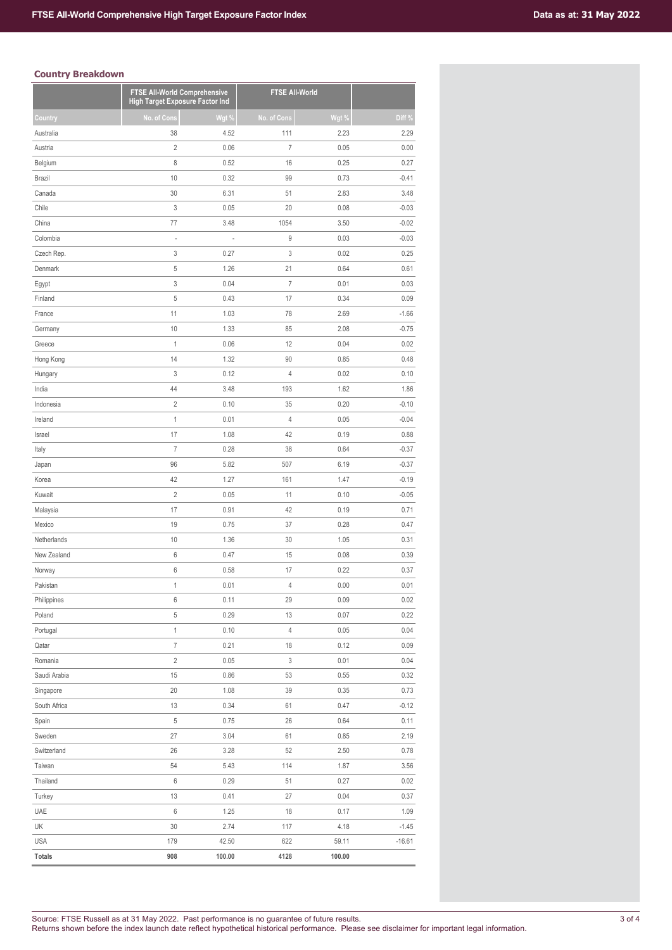# **Country Breakdown**

|               | FTSE All-World Comprehensive<br><b>High Target Exposure Factor Ind</b> |        | <b>FTSE All-World</b> |        |          |
|---------------|------------------------------------------------------------------------|--------|-----------------------|--------|----------|
| Country       | No. of Cons                                                            | Wgt %  | No. of Cons           | Wgt %  | Diff %   |
| Australia     | 38                                                                     | 4.52   | 111                   | 2.23   | 2.29     |
| Austria       | $\overline{2}$                                                         | 0.06   | $\overline{I}$        | 0.05   | 0.00     |
| Belgium       | 8                                                                      | 0.52   | 16                    | 0.25   | 0.27     |
| Brazil        | 10                                                                     | 0.32   | 99                    | 0.73   | $-0.41$  |
| Canada        | 30                                                                     | 6.31   | 51                    | 2.83   | 3.48     |
| Chile         | 3                                                                      | 0.05   | 20                    | 0.08   | $-0.03$  |
| China         | 77                                                                     | 3.48   | 1054                  | 3.50   | $-0.02$  |
| Colombia      | $\overline{a}$                                                         |        | 9                     | 0.03   | $-0.03$  |
| Czech Rep.    | 3                                                                      | 0.27   | 3                     | 0.02   | 0.25     |
| Denmark       | $\sqrt{5}$                                                             | 1.26   | 21                    | 0.64   | 0.61     |
| Egypt         | 3                                                                      | 0.04   | $\overline{I}$        | 0.01   | 0.03     |
| Finland       | 5                                                                      | 0.43   | 17                    | 0.34   | 0.09     |
| France        | 11                                                                     | 1.03   | 78                    | 2.69   | $-1.66$  |
| Germany       | 10                                                                     | 1.33   | 85                    | 2.08   | $-0.75$  |
| Greece        | 1                                                                      | 0.06   | 12                    | 0.04   | 0.02     |
| Hong Kong     | 14                                                                     | 1.32   | 90                    | 0.85   | 0.48     |
| Hungary       | 3                                                                      | 0.12   | $\overline{4}$        | 0.02   | 0.10     |
| India         | 44                                                                     | 3.48   | 193                   | 1.62   | 1.86     |
| Indonesia     | $\sqrt{2}$                                                             | 0.10   | 35                    | 0.20   | $-0.10$  |
| Ireland       | $\mathbf{1}$                                                           | 0.01   | $\overline{4}$        | 0.05   | $-0.04$  |
| Israel        | 17                                                                     | 1.08   | 42                    | 0.19   | 0.88     |
| Italy         | $\overline{7}$                                                         | 0.28   | 38                    | 0.64   | $-0.37$  |
| Japan         | 96                                                                     | 5.82   | 507                   | 6.19   | $-0.37$  |
| Korea         | 42                                                                     | 1.27   | 161                   | 1.47   | $-0.19$  |
| Kuwait        | $\sqrt{2}$                                                             | 0.05   | 11                    | 0.10   | $-0.05$  |
| Malaysia      | 17                                                                     | 0.91   | 42                    | 0.19   | 0.71     |
| Mexico        | 19                                                                     | 0.75   | 37                    | 0.28   | 0.47     |
| Netherlands   | 10                                                                     | 1.36   | 30                    | 1.05   | 0.31     |
| New Zealand   | 6                                                                      | 0.47   | 15                    | 0.08   | 0.39     |
| Norway        | 6                                                                      | 0.58   | 17                    | 0.22   | 0.37     |
| Pakistan      | $\mathbf{1}$                                                           | 0.01   | 4                     | 0.00   | 0.01     |
| Philippines   | 6                                                                      | 0.11   | 29                    | 0.09   | 0.02     |
| Poland        | $\sqrt{5}$                                                             | 0.29   | 13                    | 0.07   | 0.22     |
| Portugal      | $\mathbf{1}$                                                           | 0.10   | $\overline{4}$        | 0.05   | 0.04     |
| Qatar         | $\boldsymbol{7}$                                                       | 0.21   | 18                    | 0.12   | 0.09     |
| Romania       | $\overline{2}$                                                         | 0.05   | 3                     | 0.01   | 0.04     |
| Saudi Arabia  | 15                                                                     | 0.86   | 53                    | 0.55   | 0.32     |
| Singapore     | 20                                                                     | 1.08   | 39                    | 0.35   | 0.73     |
| South Africa  | 13                                                                     | 0.34   | 61                    | 0.47   | $-0.12$  |
| Spain         | 5                                                                      | 0.75   | 26                    | 0.64   | 0.11     |
| Sweden        | 27                                                                     | 3.04   | 61                    | 0.85   | 2.19     |
| Switzerland   | 26                                                                     | 3.28   | 52                    | 2.50   | 0.78     |
| Taiwan        | 54                                                                     | 5.43   | 114                   | 1.87   | 3.56     |
| Thailand      | 6                                                                      | 0.29   | 51                    | 0.27   | 0.02     |
| Turkey        | 13                                                                     | 0.41   | 27                    | 0.04   | 0.37     |
| UAE           | 6                                                                      | 1.25   | 18                    | 0.17   | 1.09     |
| UK            | 30                                                                     | 2.74   | 117                   | 4.18   | $-1.45$  |
| <b>USA</b>    | 179                                                                    | 42.50  | 622                   | 59.11  | $-16.61$ |
| <b>Totals</b> | 908                                                                    | 100.00 | 4128                  | 100.00 |          |
|               |                                                                        |        |                       |        |          |